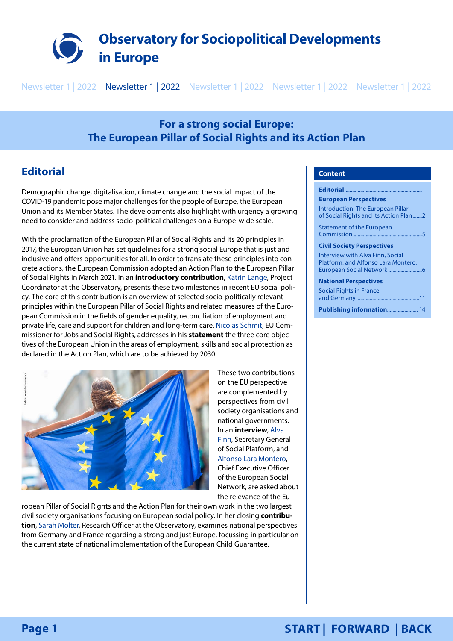<span id="page-0-0"></span>

Newsletter 1 | 2022 Newsletter 1 | 2022 Newsletter 1 | 2022 Newsletter 1 | 2022 Newsletter 1 | 2022

# **For a strong social Europe: The European Pillar of Social Rights and its Action Plan**

# **Editorial**

Demographic change, digitalisation, climate change and the social impact of the COVID-19 pandemic pose major challenges for the people of Europe, the European Union and its Member States. The developments also highlight with urgency a growing need to consider and address socio-political challenges on a Europe-wide scale.

With the proclamation of the European Pillar of Social Rights and its 20 principles in 2017, the European Union has set guidelines for a strong social Europe that is just and inclusive and offers opportunities for all. In order to translate these principles into concrete actions, the European Commission adopted an Action Plan to the European Pillar of Social Rights in March 2021. In an **introductory contribution**, [Katrin Lange](https://sociopolitical-observatory.eu/aboutus/projectteam/), Project Coordinator at the Observatory, presents these two milestones in recent EU social policy. The core of this contribution is an overview of selected socio-politically relevant principles within the European Pillar of Social Rights and related measures of the European Commission in the fields of gender equality, reconciliation of employment and private life, care and support for children and long-term care. [Nicolas Schmit,](https://ec.europa.eu/commission/commissioners/2019-2024/schmit_en) EU Commissioner for Jobs and Social Rights, addresses in his **statement** the three core objectives of the European Union in the areas of employment, skills and social protection as declared in the Action Plan, which are to be achieved by 2030.



ropean Pillar of Social Rights and the Action Plan for their own work in the two largest civil society organisations focusing on European social policy. In her closing **contribution**, [Sarah Molter](https://sociopolitical-observatory.eu/aboutus/projectteam/), Research Officer at the Observatory, examines national perspectives from Germany and France regarding a strong and just Europe, focussing in particular on the current state of national implementation of the European Child Guarantee.

## **Content**

**Editorial... [European Perspectives](#page-1-0)** [Introduction: The European Pillar](#page-1-0)  [of Social Rights and its Action Plan.......2](#page-1-0) [Statement of the European](#page-4-0)  Commission [...................................................5](#page-4-0) **[Civil Society Perspectives](#page-5-0)** [Interview with Alva Finn, Social](#page-5-0)  [Platform, and Alfonso Lara Montero,](#page-5-0)  [European Social Network](#page-5-0) .........................6 **[National Perspectives](#page-10-0)** [Social Rights in France](#page-10-0)  and Germany [...............................................11](#page-10-0) [Publishing information](#page-13-0).................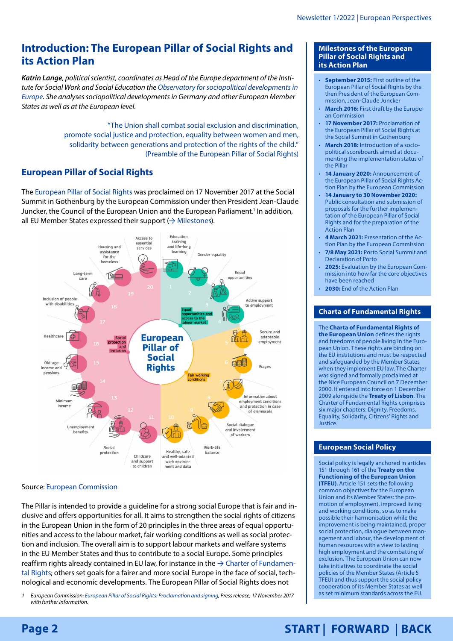# <span id="page-1-0"></span>**Introduction: The European Pillar of Social Rights and its Action Plan**

*Katrin Lange, political scientist, coordinates as Head of the Europe department of the Institute for Social Work and Social Education the [Observatory for sociopolitical developments in](https://sociopolitical-observatory.eu/)  [Europe](https://sociopolitical-observatory.eu/). She analyses sociopolitical developments in Germany and other European Member States as well as at the European level.*

> "The Union shall combat social exclusion and discrimination, promote social justice and protection, equality between women and men, solidarity between generations and protection of the rights of the child." ([Preamble](https://ec.europa.eu/info/sites/default/files/social-summit-european-pillar-social-rights-booklet_en.pdf) of the European Pillar of Social Rights)

# **European Pillar of Social Rights**

The [European Pillar of Social Rights](https://ec.europa.eu/info/strategy/priorities-2019-2024/economy-works-people/jobs-growth-and-investment/european-pillar-social-rights_en) was proclaimed on 17 November 2017 at the Social Summit in Gothenburg by the European Commission under then President Jean-Claude Juncker, the Council of the European Union and the European Parliament.<sup>1</sup> In addition, all EU Member States expressed their support  $(\rightarrow$  [Milestones\)](#page-1-1).



# Source: [European Commission](https://op.europa.eu/webpub/empl/european-pillar-of-social-rights/en/)

The Pillar is intended to provide a guideline for a strong social Europe that is fair and inclusive and offers opportunities for all. It aims to strengthen the social rights of citizens in the European Union in the form of 20 principles in the three areas of equal opportunities and access to the labour market, fair working conditions as well as social protection and inclusion. The overall aim is to support labour markets and welfare systems in the EU Member States and thus to contribute to a social Europe. Some principles reaffirm rights already contained in EU law, for instance in the  $\rightarrow$  [Charter of Fundamen](#page-1-2)[tal Rights](#page-1-2); others set goals for a fairer and more social Europe in the face of social, technological and economic developments. The European Pillar of Social Rights does not

*1 European Commission: [European Pillar of Social Rights: Proclamation and signing](https://www.consilium.europa.eu/en/press/press-releases/2017/11/17/european-pillar-of-social-rights-proclamation-and-signing/), Press release, 17 November 2017 with further information.*

#### <span id="page-1-1"></span>**Milestones of the European Pillar of Social Rights and its Action Plan**

- **September 2015:** First outline of the European Pillar of Social Rights by the then President of the European Commission, Jean-Claude Juncker
- **March 2016:** First draft by the European Commission
- **17 November 2017:** Proclamation of the European Pillar of Social Rights at the Social Summit in Gothenburg
- **March 2018:** Introduction of a sociopolitical scoreboards aimed at documenting the implementation status of the Pillar
- **14 January 2020:** Announcement of the European Pillar of Social Rights Action Plan by the European Commission
- **14 January to 30 November 2020:**  Public consultation and submission of proposals for the further implementation of the European Pillar of Social Rights and for the preparation of the Action Plan
- **4 March 2021:** Presentation of the Action Plan by the European Commission
- **7/8 May 2021:** Porto Social Summit and Declaration of Porto
- **2025:** Evaluation by the European Commission into how far the core objectives have been reached
- **2030:** End of the Action Plan

# <span id="page-1-2"></span>**Charta of Fundamental Rights**

The **[Charta of Fundamental Rights of](https://ec.europa.eu/info/aid-development-cooperation-fundamental-rights/your-rights-eu/eu-charter-fundamental-rights_en)  [the European Union](https://ec.europa.eu/info/aid-development-cooperation-fundamental-rights/your-rights-eu/eu-charter-fundamental-rights_en)** defines the rights and freedoms of people living in the European Union. These rights are binding on the EU institutions and must be respected and safeguarded by the Member States when they implement EU law. The Charter was signed and formally proclaimed at the Nice European Council on 7 December 2000. It entered into force on 1 December 2009 alongside the **[Treaty of Lisbon](https://www.europarl.europa.eu/factsheets/en/sheet/5/the-treaty-of-lisbon)**. The Charter of Fundamental Rights comprises six major chapters: Dignity, Freedoms, Equality, Solidarity, Citizens' Rights and Justice.

# <span id="page-1-3"></span>**European Social Policy**

Social policy is legally anchored in articles 151 through 161 of the **[Treaty on the](https://eur-lex.europa.eu/LexUriServ/LexUriServ.do?uri=CELEX:12012E/TXT:en:PDF)  [Functioning of the European Union](https://eur-lex.europa.eu/LexUriServ/LexUriServ.do?uri=CELEX:12012E/TXT:en:PDF)  [\(TFEU\)](https://eur-lex.europa.eu/LexUriServ/LexUriServ.do?uri=CELEX:12012E/TXT:en:PDF)**. Article 151 sets the following common objectives for the European Union and its Member States: the promotion of employment, improved living and working conditions, so as to make possible their harmonisation while the improvement is being maintained, proper social protection, dialogue between management and labour, the development of human resources with a view to lasting high employment and the combatting of exclusion. The European Union can now take initiatives to coordinate the social policies of the Member States (Article 5 TFEU) and thus support the social policy cooperation of its Member States as well as set minimum standards across the EU.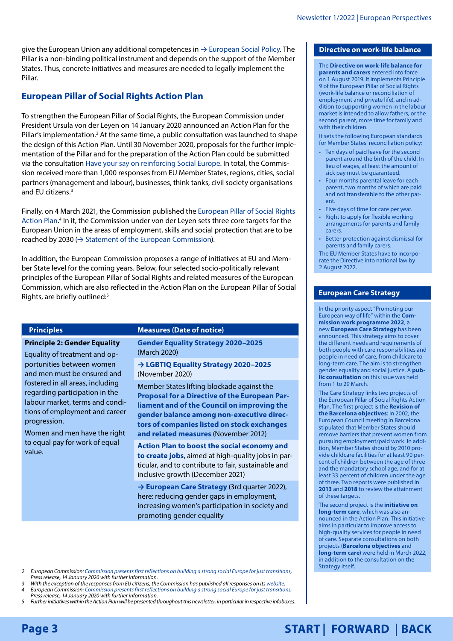<span id="page-2-0"></span>give the European Union any additional competences in  $\rightarrow$  [European Social Policy.](#page-1-3) The Pillar is a non-binding political instrument and depends on the support of the Member States. Thus, concrete initiatives and measures are needed to legally implement the Pillar.

# **European Pillar of Social Rights Action Plan**

To strengthen the European Pillar of Social Rights, the European Commission under President Ursula von der Leyen on 14 January 2020 announced an Action Plan for the Pillar's implementation.<sup>2</sup> At the same time, a public consultation was launched to shape the design of this Action Plan. Until 30 November 2020, proposals for the further implementation of the Pillar and for the preparation of the Action Plan could be submitted via the consultation [Have your say on reinforcing Social Europe](https://ec.europa.eu/social/main.jsp?catId=1487). In total, the Commission received more than 1,000 responses from EU Member States, regions, cities, social partners (management and labour), businesses, think tanks, civil society organisations and EU citizens.<sup>3</sup>

Finally, on 4 March 2021, the Commission published the [European Pillar of Social Rights](https://ec.europa.eu/info/strategy/priorities-2019-2024/economy-works-people/jobs-growth-and-investment/european-pillar-social-rights/european-pillar-social-rights-action-plan_en)  [Action Plan.](https://ec.europa.eu/info/strategy/priorities-2019-2024/economy-works-people/jobs-growth-and-investment/european-pillar-social-rights/european-pillar-social-rights-action-plan_en) 4 In it, the Commission under von der Leyen sets three core targets for the European Union in the areas of employment, skills and social protection that are to be reached by 2030 ( $\rightarrow$  [Statement of the European Commission\)](#page-4-1).

In addition, the European Commission proposes a range of initiatives at EU and Member State level for the coming years. Below, four selected socio-politically relevant principles of the European Pillar of Social Rights and related measures of the European Commission, which are also reflected in the Action Plan on the European Pillar of Social Rights, are briefly outlined:<sup>5</sup>

progression.

### **Principles Measures** (Date of notice)

**Principle 2: Gender Equality** Equality of treatment and opportunities between women and men must be ensured and fostered in all areas, including regarding participation in the labour market, terms and conditions of employment and career

Women and men have the right to equal pay for work of equal value.

**[Gender Equality Strategy 2020–2025](https://eur-lex.europa.eu/legal-content/EN/TXT/PDF/?uri=CELEX:52020DC0152&from=EN)** (March 2020)

**→ [LGBTIQ Equality Strategy 2020–2025](#page-3-0)** (November 2020)

Member States lifting blockade against the **[Proposal for a Directive of the European Par](https://eur-lex.europa.eu/legal-content/EN/TXT/PDF/?uri=CELEX:52012PC0614&from=DE)[liament and of the Council on improving the](https://eur-lex.europa.eu/legal-content/EN/TXT/PDF/?uri=CELEX:52012PC0614&from=DE)  [gender balance among non-executive direc](https://eur-lex.europa.eu/legal-content/EN/TXT/PDF/?uri=CELEX:52012PC0614&from=DE)[tors of companies listed on stock exchanges](https://eur-lex.europa.eu/legal-content/EN/TXT/PDF/?uri=CELEX:52012PC0614&from=DE)  [and related measures](https://eur-lex.europa.eu/legal-content/EN/TXT/PDF/?uri=CELEX:52012PC0614&from=DE)** (November 2012)

**[Action Plan to boost the social economy and](https://ec.europa.eu/commission/presscorner/detail/en/ip_21_6568)  [to create jobs](https://ec.europa.eu/commission/presscorner/detail/en/ip_21_6568)**, aimed at high-quality jobs in particular, and to contribute to fair, sustainable and inclusive growth (December 2021)

**→ [European Care Strategy](#page-2-1)** (3rd quarter 2022), here: reducing gender gaps in employment, increasing women's participation in society and promoting gender equality

*2 European Commission: [Commission presents first reflections on building a strong social Europe for just transitions](https://ec.europa.eu/commission/presscorner/detail/en/ip_20_18), Press release, 14 January 2020 with further information.*

With the exception of the responses from EU citizens, the Commission has published all responses on its [website.](https://ec.europa.eu/social/main.jsp?catId=1487) *4 European Commission: [Commission presents first reflections on building a strong social Europe for just transitions](https://ec.europa.eu/commission/presscorner/detail/en/ip_20_18), Press release, 14 January 2020 with further information.*

*5 Further initiatives within the Action Plan will be presented throughout this newsletter, in particular in respective infoboxes.*

## <span id="page-2-2"></span>**Directive on work-life balance**

The **[Directive on work-life balance for](https://eur-lex.europa.eu/legal-content/EN/TXT/HTML/?uri=CELEX:32019L1158&from=EN)  [parents and carers](https://eur-lex.europa.eu/legal-content/EN/TXT/HTML/?uri=CELEX:32019L1158&from=EN)** entered into force on 1 August 2019. It implements Principle 9 of the European Pillar of Social Rights (work-life balance or reconciliation of employment and private life), and in addition to supporting women in the labour market is intended to allow fathers, or the second parent, more time for family and with their children.

It sets the following European standards for Member States' reconciliation policy:

- Ten days of paid leave for the second parent around the birth of the child. In lieu of wages, at least the amount of sick pay must be guaranteed.
- Four months parental leave for each parent, two months of which are paid and not transferable to the other parent.
- Five days of time for care per year.
- Right to apply for flexible working arrangements for parents and family carers.
- Better protection against dismissal for parents and family carers.

The EU Member States have to incorporate the Directive into national law by 2 August 2022.

## <span id="page-2-1"></span>**European Care Strategy**

In the priority aspect "Promoting our European way of life" within the **[Com](https://ec.europa.eu/info/sites/default/files/cwp2022_en.pdf)[mission work programme 2022](https://ec.europa.eu/info/sites/default/files/cwp2022_en.pdf)**, a new **European Care Strategy** has been announced. This strategy aims to cover the different needs and requirements of both people with care responsibilities and people in need of care, from childcare to long-term care. The aim is to strengthen gender equality and social justice. A **[pub](https://ec.europa.eu/info/law/better-regulation/have-your-say/initiatives/13298-European-care-strategy_en)[lic consultation](https://ec.europa.eu/info/law/better-regulation/have-your-say/initiatives/13298-European-care-strategy_en)** on this issue was held from 1 to 29 March.

The Care Strategy links two projects of the European Pillar of Social Rights Action Plan. The first project is the **Revision of the Barcelona objectives**: In 2002, the European Council meeting in Barcelona stipulated that Member States should remove barriers that prevent women from pursuing employment/paid work. In addition, Member States should by 2010 provide childcare facilities for at least 90 percent of children between the age of three and the mandatory school age, and for at least 33 percent of children under the age of three. Two reports were published in **[2013](https://op.europa.eu/en/publication-detail/-/publication/fb103a95-f680-4f6e-bd44-035fbb867e6a)** and **[2018](https://ec.europa.eu/info/sites/default/files/bcn_objectives-report2018_web_en.pdf)** to review the attainment of these targets.

The second project is the **initiative on long-term care**, which was also announced in the Action Plan. This initiative aims in particular to improve access to high-quality services for people in need of care. Separate consultations on both projects (**[Barcelona objectives](https://ec.europa.eu/info/law/better-regulation/have-your-say/initiatives/13107-Revision-of-the-Barcelona-targets-on-childcare-to-increase-womens-labour-market-participation_en)** and **[long-term care](https://ec.europa.eu/info/law/better-regulation/have-your-say/initiatives/13190-Access-to-affordable-and-high-quality-long-term-care_en)**) were held in March 2022, in addition to the consultation on the Strategy itself.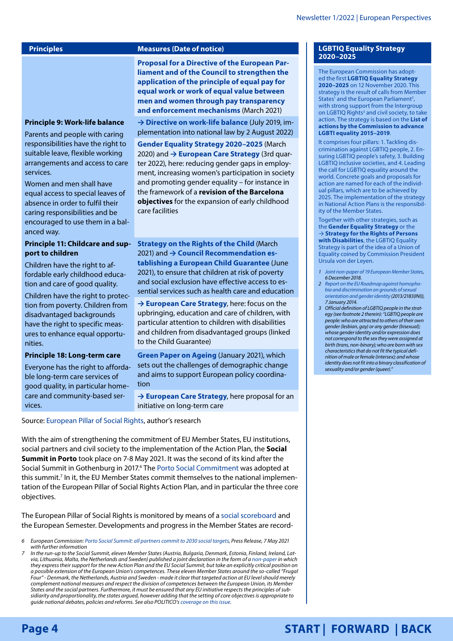services.

anced way.

### <span id="page-3-1"></span>**Principles Measures (Date of notice)**

**[Proposal for a Directive of the European Par](https://ec.europa.eu/info/sites/info/files/aid_development_cooperation_fundamental_rights/com-2021-93_en.pdf)[liament and of the Council to strengthen the](https://ec.europa.eu/info/sites/info/files/aid_development_cooperation_fundamental_rights/com-2021-93_en.pdf)  [application of the principle of equal pay for](https://ec.europa.eu/info/sites/info/files/aid_development_cooperation_fundamental_rights/com-2021-93_en.pdf)  [equal work or work of equal value between](https://ec.europa.eu/info/sites/info/files/aid_development_cooperation_fundamental_rights/com-2021-93_en.pdf)  [men and women through pay transparency](https://ec.europa.eu/info/sites/info/files/aid_development_cooperation_fundamental_rights/com-2021-93_en.pdf)  [and enforcement mechanisms](https://ec.europa.eu/info/sites/info/files/aid_development_cooperation_fundamental_rights/com-2021-93_en.pdf)** (March 2021)

**→ [Directive on work-life balance](#page-2-2)** (July 2019, implementation into national law by 2 August 2022)

**[Gender Equality Strategy 2020–2025](https://eur-lex.europa.eu/legal-content/EN/TXT/PDF/?uri=CELEX:52020DC0152&from=EN)** (March 2020) and **→ [European Care Strategy](#page-2-1)** (3rd quarter 2022), here: reducing gender gaps in employment, increasing women's participation in society and promoting gender equality – for instance in the framework of a **revision of the Barcelona objectives** for the expansion of early childhood care facilities

# **Principle 11: Childcare and support to children**

Children have the right to affordable early childhood education and care of good quality.

**Principle 9: Work-life balance** Parents and people with caring responsibilities have the right to suitable leave, flexible working arrangements and access to care

Women and men shall have equal access to special leaves of absence in order to fulfil their caring responsibilities and be encouraged to use them in a bal-

Children have the right to protection from poverty. Children from disadvantaged backgrounds have the right to specific measures to enhance equal opportunities.

#### **Principle 18: Long-term care**

Everyone has the right to affordable long-term care services of good quality, in particular homecare and community-based services.

**[Strategy on the Rights of the Child](https://ec.europa.eu/info/policies/justice-and-fundamental-rights/rights-child/eu-strategy-rights-child-and-european-child-guarantee_en)** (March 2021) and **→ [Council Recommendation es](#page-7-0)[tablishing a European Child Guarantee](#page-7-0)** (June 2021), to ensure that children at risk of poverty and social exclusion have effective access to essential services such as health care and education

**→ [European Care Strategy](#page-2-1)**, here: focus on the upbringing, education and care of children, with particular attention to children with disabilities and children from disadvantaged groups (linked to the Child Guarantee)

**[Green Paper on Ageing](https://ec.europa.eu/info/sites/default/files/1_en_act_part1_v8_0.pdf)** (January 2021), which sets out the challenges of demographic change and aims to support European policy coordination

**→ [European Care Strategy](#page-2-1)**, here proposal for an initiative on long-term care

Source: [European Pillar of Social Rights,](https://ec.europa.eu/info/strategy/priorities-2019-2024/economy-works-people/jobs-growth-and-investment/european-pillar-social-rights/european-pillar-social-rights-20-principles_en) author's research

With the aim of strengthening the commitment of EU Member States, EU institutions, social partners and civil society to the implementation of the Action Plan, the **Social Summit in Porto** took place on 7-8 May 2021. It was the second of its kind after the Social Summit in Gothenburg in 2017.<sup>6</sup> The [Porto Social Commitment](https://www.consilium.europa.eu/en/press/press-releases/2021/05/08/the-porto-declaration/) was adopted at this summit.<sup>7</sup> In it, the EU Member States commit themselves to the national implementation of the European Pillar of Social Rights Action Plan, and in particular the three core objectives.

The European Pillar of Social Rights is monitored by means of a [social scoreboard](https://ec.europa.eu/eurostat/web/european-pillar-of-social-rights/overview) and the European Semester. Developments and progress in the Member States are record-

- *6 European Commission: [Porto Social Summit: all partners commit to 2030 social targets](https://ec.europa.eu/commission/presscorner/detail/en/ip_21_2301), Press Release, 7 May 2021 with further information*
- *7 In the run-up to the Social Summit, eleven Member States (Austria, Bulgaria, Denmark, Estonia, Finland, Ireland, Latvia, Lithuania, Malta, the Netherlands and Sweden) published a joint declaration in the form of a [non-paper](https://www.politico.eu/wp-content/uploads/2021/04/22/Non-paper-Social-Summit.pdf) in which they express their support for the new Action Plan and the EU Social Summit, but take an explicitly critical position on a possible extension of the European Union's competences. These eleven Member States around the so-called "Frugal Four" - Denmark, the Netherlands, Austria and Sweden - made it clear that targeted action at EU level should merely complement national measures and respect the division of competences between the European Union, its Member States and the social partners. Furthermore, it must be ensured that any EU initiative respects the principles of subsidiarity and proportionality, the states argued, however adding that the setting of core objectives is appropriate to guide national debates, policies and reforms. See also POLITICO's [coverage on this issue.](https://www.politico.eu/article/porto-summit-11-eu-countries-national-authority/)*

#### <span id="page-3-0"></span>**LGBTIQ Equality Strategy 2020–2025**

The European Commission has adopted the first **[LGBTIQ Equality Strategy](https://eur-lex.europa.eu/legal-content/EN/TXT/HTML/?uri=CELEX:52020DC0698&qid=1607962873505&from=EN)  [2020–2025](https://eur-lex.europa.eu/legal-content/EN/TXT/HTML/?uri=CELEX:52020DC0698&qid=1607962873505&from=EN)** on 12 November 2020. This strategy is the result of calls from Member States<sup>1</sup> and the European Parliament<sup>2</sup>, with strong support from the Intergroup on LGBTIQ Rights<sup>3</sup> and civil society, to take action. The strategy is based on the **[List of](https://ec.europa.eu/info/policies/justice-and-fundamental-rights/combatting-discrimination/lesbian-gay-bi-trans-and-intersex-equality/lgbtiq-equality-strategy-2020-2025/list-actions-advance-lgbti-equality-2015-2019_de#documents)  [actions by the Commission to advance](https://ec.europa.eu/info/policies/justice-and-fundamental-rights/combatting-discrimination/lesbian-gay-bi-trans-and-intersex-equality/lgbtiq-equality-strategy-2020-2025/list-actions-advance-lgbti-equality-2015-2019_de#documents)  [LGBTI equality 2015–2019](https://ec.europa.eu/info/policies/justice-and-fundamental-rights/combatting-discrimination/lesbian-gay-bi-trans-and-intersex-equality/lgbtiq-equality-strategy-2020-2025/list-actions-advance-lgbti-equality-2015-2019_de#documents)**.

It comprises four pillars: 1. Tackling discrimination against LGBTIQ people, 2. Ensuring LGBTIQ people's safety, 3. Building LGBTIQ inclusive societies, and 4. Leading the call for LGBTIQ equality around the world. Concrete goals and proposals for action are named for each of the individual pillars, which are to be achieved by 2025. The implementation of the strategy in National Action Plans is the responsibility of the Member States.

Together with other strategies, such as the **[Gender Equality Strategy](https://eur-lex.europa.eu/legal-content/EN/TXT/PDF/?uri=CELEX:52020DC0152&from=EN)** or the → **[Strategy for the Rights of Persons](#page-8-0)  [with Disabilities](#page-8-0)**, the LGBTIQ Equality Strategy is part of the idea of a Union of Equality coined by Commission President Ursula von der Leyen.

- *1 [Joint non-paper of 19 European Member States,](https://meae.gov.mt/en/Documents/LGBTIQ%20Action%20Plan/Joint%20Non%20Paper%20LGBTI%20(signed).pdf) 6 December 2018.*
- *2 [Report on the EU Roadmap against homopho](https://www.europarl.europa.eu/doceo/document/A-7-2014-0009_EN.pdf)[bia and discrimination on grounds of sexual](https://www.europarl.europa.eu/doceo/document/A-7-2014-0009_EN.pdf)  [orientation and gender identity](https://www.europarl.europa.eu/doceo/document/A-7-2014-0009_EN.pdf) (2013/2183(INI)), 7 January 2014.*
- *3 Official definition of LGBTIQ people in the strategy (see footnote 2 therein): "LGBTIQ people are people: who are attracted to others of their own gender (lesbian, gay) or any gender (bisexual); whose gender identity and/or expression does not correspond to the sex they were assigned at birth (trans, non-binary); who are born with sex characteristics that do not fit the typical definition of male or female (intersex); and whose identity does not fit into a binary classification of sexuality and/or gender (queer)."*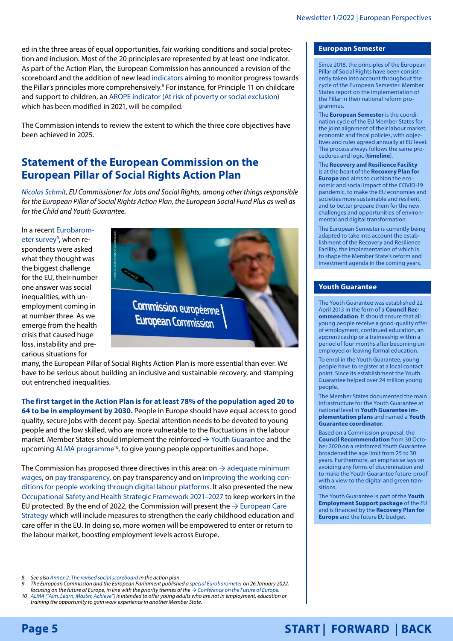<span id="page-4-0"></span>ed in the three areas of equal opportunities, fair working conditions and social protection and inclusion. Most of the 20 principles are represented by at least one [indicator.](https://ec.europa.eu/eurostat/web/european-pillar-of-social-rights/indicators) As part of the Action Plan, the European Commission has announced a revision of the scoreboard and the addition of new lead [indicators](https://ec.europa.eu/eurostat/web/european-pillar-of-social-rights/indicators) aiming to monitor progress towards the Pillar's principles more comprehensively.<sup>8</sup> For instance, for Principle 11 on childcare and support to children, an [AROPE indicator \(At risk of poverty or social exclusion\)](https://ec.europa.eu/eurostat/statistics-explained/index.php?title=Glossary:At_risk_of_poverty_or_social_exclusion_(AROPE)) which has been modified in 2021, will be compiled.

The Commission intends to review the extent to which the three core objectives have been achieved in 2025.

# <span id="page-4-1"></span>**Statement of the European Commission on the European Pillar of Social Rights Action Plan**

*[Nicolas Schmit,](https://ec.europa.eu/commission/commissioners/2019-2024/schmit_en) EU Commissioner for Jobs and Social Rights, among other things responsible for the European Pillar of Social Rights Action Plan, the European Social Fund Plus as well as for the Child and Youth Guarantee.*

In a recent [Eurobarom](https://europa.eu/eurobarometer/surveys/detail/2554)eter survey<sup>9</sup>, when respondents were asked what they thought was the biggest challenge for the EU, their number one answer was social inequalities, with unemployment coming in at number three. As we emerge from the health crisis that caused huge loss, instability and precarious situations for



many, the European Pillar of Social Rights Action Plan is more essential than ever. We have to be serious about building an inclusive and sustainable recovery, and stamping out entrenched inequalities.

**The first target in the Action Plan is for at least 78% of the population aged 20 to 64 to be in employment by 2030.** People in Europe should have equal access to good quality, secure jobs with decent pay. Special attention needs to be devoted to young people and the low skilled, who are more vulnerable to the fluctuations in the labour market. Member States should implement the reinforced  $\rightarrow$  [Youth Guarantee](#page-4-2) and the upcoming ALMA programme<sup>10</sup>, to give young people opportunities and hope.

The Commission has proposed three directives in this area: on  $\rightarrow$  adequate minimum [wages](#page-5-1), on [pay transparency,](https://ec.europa.eu/info/sites/default/files/aid_development_cooperation_fundamental_rights/com-2021-93_en.pdf) on [pay transparency](https://ec.europa.eu/info/sites/default/files/aid_development_cooperation_fundamental_rights/com-2021-93_en.pdf) and on [improving the working con](https://ec.europa.eu/commission/presscorner/detail/en/ip_21_6605)[ditions for people working through digital labour platforms.](https://ec.europa.eu/commission/presscorner/detail/en/ip_21_6605) It also presented the new [Occupational Safety and Health Strategic Framework 2021–2027](https://osha.europa.eu/en/safety-and-health-legislation/eu-strategic-framework-health-and-safety-work-2021-2027) to keep workers in the EU protected. By the end of 2022, the Commission will present the  $\rightarrow$  European Care [Strategy](#page-2-1) which will include measures to strengthen the early childhood education and care offer in the EU. In doing so, more women will be empowered to enter or return to the labour market, boosting employment levels across Europe.

*8 See also [Annex 2. The revised social scoreboard](https://op.europa.eu/webpub/empl/european-pillar-of-social-rights/en/index.html) in the action plan.*

*9 The European Commission and the European Parliament published a [special Eurobarometer](https://europa.eu/eurobarometer/surveys/detail/2554) on 26 January 2022,* 

*focusing on the future of Europe, in line with the priority themes of the → [Conference on the Future of Europe.](#page-9-0) 10 [ALMA \("Aim, Learn, Master, Achieve"\)](https://ec.europa.eu/social/main.jsp?catId=1549&langId=en) is intended to offer young adults who are not in employment, education or training the opportunity to gain work experience in another Member State.*

#### <span id="page-4-3"></span>**European Semester**

Since 2018, the principles of the European Pillar of Social Rights have been consistently taken into account throughout the cycle of the European Semester. Member States report on the implementation of the Pillar in their national reform programmes.

The **[European Semester](https://ec.europa.eu/info/business-economy-euro/economic-and-fiscal-policy-coordination/eu-economic-governance-monitoring-prevention-correction/european-semester_en)** is the coordination cycle of the EU Member States for the joint alignment of their labour market, economic and fiscal policies, with objectives and rules agreed annually at EU level. The process always follows the same procedures and logic (**[timeline](https://ec.europa.eu/info/sites/info/files/semester_sdgs_timeline.pdf)**).

The **[Recovery and Resilience Facility](https://ec.europa.eu/info/business-economy-euro/recovery-coronavirus/recovery-and-resilience-facility_en)** is at the heart of the **[Recovery Plan for](https://ec.europa.eu/info/strategy/recovery-plan-europe_en)  [Europe](https://ec.europa.eu/info/strategy/recovery-plan-europe_en)** and aims to cushion the economic and social impact of the COVID-19 pandemic, to make the EU economies and societies more sustainable and resilient, and to better prepare them for the new challenges and opportunities of environmental and digital transformation.

The European Semester is currently being adapted to take into account the establishment of the Recovery and Resilience Facility, the implementation of which is to shape the Member State's reform and investment agenda in the coming years.

## <span id="page-4-2"></span>**[Youth Guarantee](http://Youth Guarantee)**

The Youth Guarantee was established 22 April 2013 in the form of a **[Council Rec](https://eur-lex.europa.eu/legal-content/EN/ALL/?uri=CELEX%3A32013H0426%2801%29)[ommendation](https://eur-lex.europa.eu/legal-content/EN/ALL/?uri=CELEX%3A32013H0426%2801%29)**. It should ensure that all young people receive a good-quality offer of employment, continued education, an apprenticeship or a traineeship within a period of four months after becoming unemployed or leaving formal education.

To enrol in the Youth Guarantee, young people have to register at a local contact point. Since its establishment the Youth Guarantee helped over 24 million young people.

The Member States documented the main infrastructure for the Youth Guarantee at national level in **[Youth Guarantee im](https://ec.europa.eu/social/main.jsp?catId=1161&langId=en)[plementation plans](https://ec.europa.eu/social/main.jsp?catId=1161&langId=en)** and named a **[Youth](https://ec.europa.eu/social/BlobServlet?docId=11490&langId=en)  [Guarantee coordinator](https://ec.europa.eu/social/BlobServlet?docId=11490&langId=en)**.

Based on a Commission proposal, the **[Council Recommendation](https://eur-lex.europa.eu/legal-content/EN/TXT/?uri=uriserv%3AOJ.C_.2020.372.01.0001.01.ENG&toc=OJ%3AC%3A2020%3A372%3ATOC)** from 30 October 2020 on a reinforced Youth Guarantee broadened the age limit from 25 to 30 years. Furthermore, an emphasise lays on avoiding any forms of discrimination and to make the Youth Guarantee future-proof with a view to the digital and green transitions.

The Youth Guarantee is part of the **[Youth](https://ec.europa.eu/commission/presscorner/detail/en/IP_20_1193)  [Employment Support package](https://ec.europa.eu/commission/presscorner/detail/en/IP_20_1193)** of the EU and is financed by the **[Recovery Plan for](https://ec.europa.eu/info/strategy/recovery-plan-europe_en)  [Europe](https://ec.europa.eu/info/strategy/recovery-plan-europe_en)** and the future EU budget.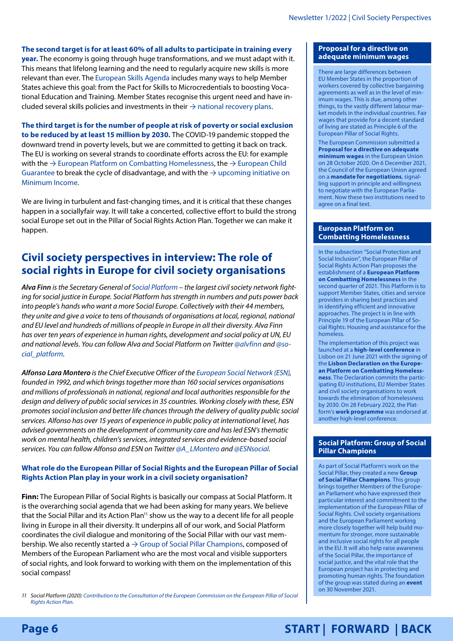## <span id="page-5-0"></span>**The second target is for at least 60% of all adults to participate in training every**

**year.** The economy is going through huge transformations, and we must adapt with it. This means that lifelong learning and the need to regularly acquire new skills is more relevant than ever. The [European Skills Agenda](https://ec.europa.eu/social/main.jsp?langId=en&catId=1223) includes many ways to help Member States achieve this goal: from the Pact for Skills to Microcredentials to boosting Vocational Education and Training. Member States recognise this urgent need and have included several skills policies and investments in their  $\rightarrow$  [national recovery plans.](#page-4-3)

**The third target is for the number of people at risk of poverty or social exclusion to be reduced by at least 15 million by 2030.** The COVID-19 pandemic stopped the downward trend in poverty levels, but we are committed to getting it back on track. The EU is working on several strands to coordinate efforts across the EU: for example with the  $\rightarrow$  [European Platform on Combatting Homelessness](#page-5-2), the  $\rightarrow$  European Child [Guarantee](#page-7-0) to break the cycle of disadvantage, and with the  $\rightarrow$  upcoming initiative on [Minimum Income.](#page-8-1)

We are living in turbulent and fast-changing times, and it is critical that these changes happen in a sociallyfair way. It will take a concerted, collective effort to build the strong social Europe set out in the Pillar of Social Rights Action Plan. Together we can make it happen.

# **Civil society perspectives in interview: The role of social rights in Europe for civil society organisations**

*Alva Finn is the Secretary General of [Social Platform](https://www.socialplatform.org/) – the largest civil society network fighting for social justice in Europe. Social Platform has strength in numbers and puts power back into people's hands who want a more Social Europe. Collectively with their 44 members, they unite and give a voice to tens of thousands of organisations at local, regional, national and EU level and hundreds of millions of people in Europe in all their diversity. Alva Finn has over ten years of experience in human rights, development and social policy at UN, EU and national levels. You can follow Alva and Social Platform on Twitter [@alvfinn](https://twitter.com/alvfinn) and [@so](https://twitter.com/social_platform)[cial\\_platform.](https://twitter.com/social_platform)*

*Alfonso Lara Montero is the Chief Executive Officer of the [European Social Network \(ESN](http://www.esn-eu.org/)), founded in 1992, and which brings together more than 160 social services organisations and millions of professionals in national, regional and local authorities responsible for the design and delivery of public social services in 35 countries. Working closely with these, ESN promotes social inclusion and better life chances through the delivery of quality public social services. Alfonso has over 15 years of experience in public policy at international level, has advised governments on the development of community care and has led ESN's thematic work on mental health, children's services, integrated services and evidence-based social services. You can follow Alfonso and ESN on Twitter [@A\\_LMontero](https://twitter.com/A_LMontero) and [@ESNsocial](https://twitter.com/ESNsocial).*

## **What role do the European Pillar of Social Rights and the European Pillar of Social Rights Action Plan play in your work in a civil society organisation?**

**Finn:** The European Pillar of Social Rights is basically our compass at Social Platform. It is the overarching social agenda that we had been asking for many years. We believe that the Social Pillar and its Action Plan<sup>11</sup> show us the way to a decent life for all people living in Europe in all their diversity. It underpins all of our work, and Social Platform coordinates the civil dialogue and monitoring of the Social Pillar with our vast membership. We also recently started a  $\rightarrow$  [Group of Social Pillar Champions](#page-5-3), composed of Members of the European Parliament who are the most vocal and visible supporters of social rights, and look forward to working with them on the implementation of this social compass!

*11 Social Platform (2020): [Contribution to the Consultation of the European Commission on the European Pillar of Social](https://www.socialplatform.org/what-we-do/european-pillar-of-social-rights/action-plan/)  [Rights Action Plan](https://www.socialplatform.org/what-we-do/european-pillar-of-social-rights/action-plan/).*

#### <span id="page-5-1"></span>**Proposal for a directive on adequate minimum wages**

There are large differences between EU Member States in the proportion of workers covered by collective bargaining agreements as well as in the level of minimum wages. This is due, among other things, to the vastly different labour market models in the individual countries. Fair wages that provide for a decent standard of living are stated as Principle 6 of the European Pillar of Social Rights.

The European Commission submitted a **[Proposal for a directive on adequate](https://eur-lex.europa.eu/legal-content/EN/TXT/PDF/?uri=CELEX:52020PC0682&from=EN)  [minimum wages](https://eur-lex.europa.eu/legal-content/EN/TXT/PDF/?uri=CELEX:52020PC0682&from=EN)** in the European Union on 28 October 2020. On 6 December 2021, the Council of the European Union agreed on a **[mandate for negotiations](https://www.consilium.europa.eu/en/press/press-releases/2021/12/06/council-agrees-on-mandate-for-negotiations-on-a-eu-framework-on-adequate-minimum-wages/)**, signalling support in principle and willingness to negotiate with the European Parliament. Now these two institutions need to agree on a final text.

#### <span id="page-5-2"></span>**European Platform on Combatting Homelessness**

In the subsection "Social Protection and Social Inclusion", the European Pillar of Social Rights Action Plan proposes the establishment of a **[European Platform](https://ec.europa.eu/social/main.jsp?catId=1550&langId=en)  [on Combatting Homelessness](https://ec.europa.eu/social/main.jsp?catId=1550&langId=en)** in the second quarter of 2021. This Platform is to support Member States, cities and service providers in sharing best practices and in identifying efficient and innovative approaches. The project is in line with Principle 19 of the European Pillar of Social Rights: Housing and assistance for the homeless.

The implementation of this project was launched at a **[high-level conference](https://www.2021portugal.eu/en/events/high-level-conference-european-platform-on-combatting-homelessness/)** in Lisbon on 21 June 2021 with the signing of the **[Lisbon Declaration on the Europe](https://ec.europa.eu/social/BlobServlet?docId=24120&langId=en)[an Platform on Combatting Homeless](https://ec.europa.eu/social/BlobServlet?docId=24120&langId=en)[ness](https://ec.europa.eu/social/BlobServlet?docId=24120&langId=en)**. The Declaration commits the participating EU institutions, EU Member States and civil society organisations to work towards the elimination of homelessness by 2030. On 28 February 2022, the Platform's **[work programme](https://ec.europa.eu/social/main.jsp?langId=en&catId=1550&furtherNews=yes&newsId=10186)** was endorsed at another high-level conference.

#### <span id="page-5-3"></span>**Social Platform: [Group of Social](https://www.socialplatform.org/what-we-do/european-pillar-of-social-rights/group-of-social-pillar-champions/)  [Pillar Champions](https://www.socialplatform.org/what-we-do/european-pillar-of-social-rights/group-of-social-pillar-champions/)**

As part of Social Platform's work on the Social Pillar, they created a new **[Group](https://www.socialplatform.org/what-we-do/european-pillar-of-social-rights/group-of-social-pillar-champions/)  [of Social Pillar Champions](https://www.socialplatform.org/what-we-do/european-pillar-of-social-rights/group-of-social-pillar-champions/)**. This group brings together Members of the European Parliament who have expressed their particular interest and commitment to the implementation of the European Pillar of Social Rights. Civil society organisations and the European Parliament working more closely together will help build momentum for stronger, more sustainable and inclusive social rights for all people in the EU. It will also help raise awareness of the Social Pillar, the importance of social justice, and the vital role that the European project has in protecting and promoting human rights. The foundation of the group was stated during an **[event](https://www.socialplatform.org/events/group-of-social-pillar-champions-launch-event/?utm_source=email&utm_campaign=November%20eNB&utm_medium=email)** on 30 November 2021.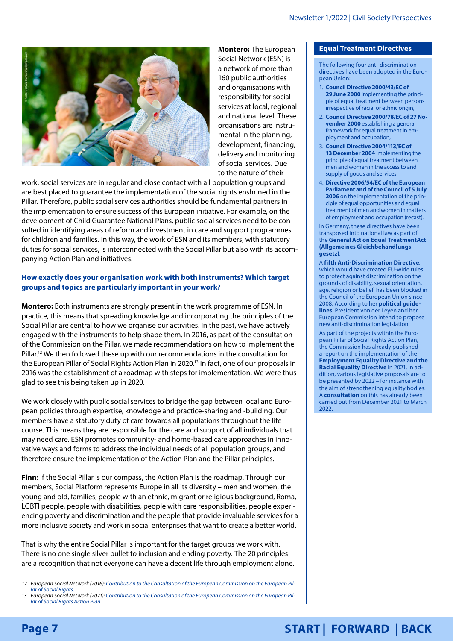<span id="page-6-0"></span>

**Montero:** The European Social Network (ESN) is a network of more than 160 public authorities and organisations with responsibility for social services at local, regional and national level. These organisations are instrumental in the planning, development, financing, delivery and monitoring of social services. Due to the nature of their

work, social services are in regular and close contact with all population groups and are best placed to guarantee the implementation of the social rights enshrined in the Pillar. Therefore, public social services authorities should be fundamental partners in the implementation to ensure success of this European initiative. For example, on the development of Child Guarantee National Plans, public social services need to be consulted in identifying areas of reform and investment in care and support programmes for children and families. In this way, the work of ESN and its members, with statutory duties for social services, is interconnected with the Social Pillar but also with its accompanying Action Plan and initiatives.

# **How exactly does your organisation work with both instruments? Which target groups and topics are particularly important in your work?**

**Montero:** Both instruments are strongly present in the work programme of ESN. In practice, this means that spreading knowledge and incorporating the principles of the Social Pillar are central to how we organise our activities. In the past, we have actively engaged with the instruments to help shape them. In 2016, as part of the consultation of the Commission on the Pillar, we made recommendations on how to implement the Pillar.<sup>12</sup> We then followed these up with our recommendations in the consultation for the European Pillar of Social Rights Action Plan in 2020.<sup>13</sup> In fact, one of our proposals in 2016 was the establishment of a roadmap with steps for implementation. We were thus glad to see this being taken up in 2020.

We work closely with public social services to bridge the gap between local and European policies through expertise, knowledge and practice-sharing and -building. Our members have a statutory duty of care towards all populations throughout the life course. This means they are responsible for the care and support of all individuals that may need care. ESN promotes community- and home-based care approaches in innovative ways and forms to address the individual needs of all population groups, and therefore ensure the implementation of the Action Plan and the Pillar principles.

**Finn:** If the Social Pillar is our compass, the Action Plan is the roadmap. Through our members, Social Platform represents Europe in all its diversity – men and women, the young and old, families, people with an ethnic, migrant or religious background, Roma, LGBTI people, people with disabilities, people with care responsibilities, people experiencing poverty and discrimination and the people that provide invaluable services for a more inclusive society and work in social enterprises that want to create a better world.

That is why the entire Social Pillar is important for the target groups we work with. There is no one single silver bullet to inclusion and ending poverty. The 20 principles are a recognition that not everyone can have a decent life through employment alone.

## <span id="page-6-1"></span>**Equal Treatment Directives**

The following four anti-discrimination directives have been adopted in the European Union:

- 1. **[Council Directive 2000/43/EC of](https://eur-lex.europa.eu/legal-content/EN/TXT/?uri=CELEX%3A32000L0043)  29 [June 2000](https://eur-lex.europa.eu/legal-content/EN/TXT/?uri=CELEX%3A32000L0043)** implementing the principle of equal treatment between persons irrespective of racial or ethnic origin,
- 2. **[Council Directive 2000/78/EC of 27No](https://eur-lex.europa.eu/legal-content/EN/TXT/?uri=celex%3A32000L0078)[vember 2000](https://eur-lex.europa.eu/legal-content/EN/TXT/?uri=celex%3A32000L0078)** establishing a general framework for equal treatment in employment and occupation,
- 3. **[Council Directive 2004/113/EC of](https://eur-lex.europa.eu/legal-content/EN/TXT/?uri=celex%3A32004L0113)  [13December 2004](https://eur-lex.europa.eu/legal-content/EN/TXT/?uri=celex%3A32004L0113)** implementing the principle of equal treatment between men and women in the access to and supply of goods and services,
- 4. **[Directive 2006/54/EC of the European](https://eur-lex.europa.eu/legal-content/EN/TXT/?uri=CELEX%3A32006L0054)  [Parliament and of the Council of 5 July](https://eur-lex.europa.eu/legal-content/EN/TXT/?uri=CELEX%3A32006L0054)  [2006](https://eur-lex.europa.eu/legal-content/EN/TXT/?uri=CELEX%3A32006L0054)** on the implementation of the principle of equal opportunities and equal treatment of men and women in matters of employment and occupation (recast).

In Germany, these directives have been transposed into national law as part of the **[General Act on Equal TreatmentAct](https://www.gesetze-im-internet.de/agg/)  [\(Allgemeines Gleichbehandlungs](https://www.gesetze-im-internet.de/agg/)[gesetz\)](https://www.gesetze-im-internet.de/agg/)**.

A **[fifth Anti-Discrimination Directive](https://eur-lex.europa.eu/LexUriServ/LexUriServ.do?uri=COM:2008:0426:FIN:en:PDF)**, which would have created EU-wide rules to protect against discrimination on the grounds of disability, sexual orientation, age, religion or belief, has been blocked in the Council of the European Union since 2008. According to her **[political guide](https://ec.europa.eu/info/sites/default/files/political-guidelines-next-commission_en.pdf)[lines](https://ec.europa.eu/info/sites/default/files/political-guidelines-next-commission_en.pdf)**, President von der Leyen and her European Commission intend to propose new anti-discrimination legislation.

As part of the projects within the European Pillar of Social Rights Action Plan, the Commission has already published a report on the implementation of the **[Employment Equality Directive and the](https://eur-lex.europa.eu/legal-content/EN/ALL/?uri=COM:2021:139:FIN)  [Racial Equality Directive](https://eur-lex.europa.eu/legal-content/EN/ALL/?uri=COM:2021:139:FIN)** in 2021. In addition, various legislative proposals are to be presented by 2022 – for instance with the aim of strengthening equality bodies. A **[consultation](https://ec.europa.eu/info/law/better-regulation/have-your-say/initiatives/13098-Equality-bodies-binding-standards_en)** on this has already been carried out from December 2021 to March 2022.

```
Page 7
```
*<sup>12</sup> European Social Network (2016): [Contribution to the Consultation of the European Commission on the European Pil](https://www.esn-eu.org/sites/default/files/publications/ESN_Position_Paper_on_the_EC_Pillar_of_Social_Rights.pdf)[lar of Social Rights](https://www.esn-eu.org/sites/default/files/publications/ESN_Position_Paper_on_the_EC_Pillar_of_Social_Rights.pdf).*

*<sup>13</sup> European Social Network (2021): [Contribution to the Consultation of the European Commission on the European Pil](https://ec.europa.eu/social/BlobServlet?docId=23712&langId=en)[lar of Social Rights Action Plan](https://ec.europa.eu/social/BlobServlet?docId=23712&langId=en).*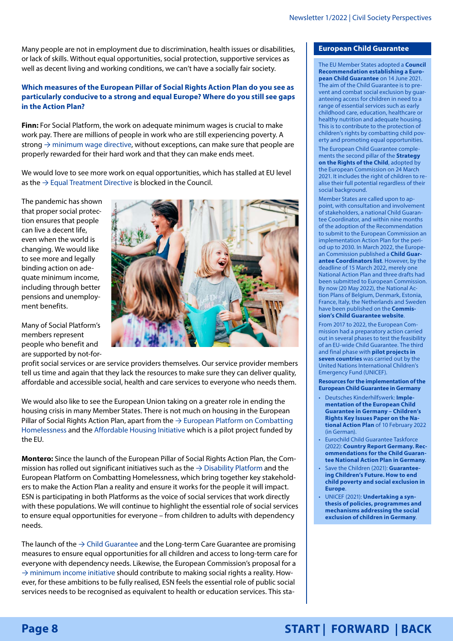<span id="page-7-1"></span>Many people are not in employment due to discrimination, health issues or disabilities, or lack of skills. Without equal opportunities, social protection, supportive services as well as decent living and working conditions, we can't have a socially fair society.

## **Which measures of the European Pillar of Social Rights Action Plan do you see as particularly conducive to a strong and equal Europe? Where do you still see gaps in the Action Plan?**

**Finn:** For Social Platform, the work on adequate minimum wages is crucial to make work pay. There are millions of people in work who are still experiencing poverty. A strong  $\rightarrow$  [minimum wage directive,](#page-5-1) without exceptions, can make sure that people are properly rewarded for their hard work and that they can make ends meet.

We would love to see more work on equal opportunities, which has stalled at EU level as the  $\rightarrow$  [Equal Treatment Directive](#page-6-1) is blocked in the Council.

The pandemic has shown that proper social protection ensures that people can live a decent life, even when the world is changing. We would like to see more and legally binding action on adequate minimum income, including through better pensions and unemployment benefits.

Many of Social Platform's members represent people who benefit and are supported by not-for-



profit social services or are service providers themselves. Our service provider members tell us time and again that they lack the resources to make sure they can deliver quality, affordable and accessible social, health and care services to everyone who needs them.

We would also like to see the European Union taking on a greater role in ending the housing crisis in many Member States. There is not much on housing in the European Pillar of Social Rights Action Plan, apart from the  $\rightarrow$  European Platform on Combatting [Homelessness](#page-5-2) and the [Affordable Housing Initiative](https://ec.europa.eu/growth/sectors/proximity-and-social-economy/social-economy-eu/affordable-housing-initiative_en) which is a pilot project funded by the EU.

**Montero:** Since the launch of the European Pillar of Social Rights Action Plan, the Commission has rolled out significant initiatives such as the  $\rightarrow$  [Disability Platform](#page-8-0) and the European Platform on Combatting Homelessness, which bring together key stakeholders to make the Action Plan a reality and ensure it works for the people it will impact. ESN is participating in both Platforms as the voice of social services that work directly with these populations. We will continue to highlight the essential role of social services to ensure equal opportunities for everyone – from children to adults with dependency needs.

The launch of the  $\rightarrow$  [Child Guarantee](#page-7-0) and the Long-term Care Guarantee are promising measures to ensure equal opportunities for all children and access to long-term care for everyone with dependency needs. Likewise, the European Commission's proposal for a  $\rightarrow$  [minimum income initiative](#page-8-1) should contribute to making social rights a reality. However, for these ambitions to be fully realised, ESN feels the essential role of public social services needs to be recognised as equivalent to health or education services. This sta-

### <span id="page-7-0"></span>**European Child Guarantee**

The EU Member States adopted a **[Council](https://eur-lex.europa.eu/legal-content/EN/TXT/HTML/?uri=CELEX:32021H1004&from=EN)  [Recommendation establishing a Euro](https://eur-lex.europa.eu/legal-content/EN/TXT/HTML/?uri=CELEX:32021H1004&from=EN)[pean Child Guarantee](https://eur-lex.europa.eu/legal-content/EN/TXT/HTML/?uri=CELEX:32021H1004&from=EN)** on 14 June 2021. The aim of the Child Guarantee is to prevent and combat social exclusion by guaranteeing access for children in need to a range of essential services such as early childhood care, education, healthcare or healthy nutrition and adequate housing. This is to contribute to the protection of children's rights by combatting child poverty and promoting equal opportunities.

The European Child Guarantee complements the second pillar of the **[Strategy](https://ec.europa.eu/info/policies/justice-and-fundamental-rights/rights-child/eu-strategy-rights-child-and-european-child-guarantee_en)  [on the Rights of the Child](https://ec.europa.eu/info/policies/justice-and-fundamental-rights/rights-child/eu-strategy-rights-child-and-european-child-guarantee_en)**, adopted by the European Commission on 24 March 2021. It includes the right of children to realise their full potential regardless of their social background.

Member States are called upon to appoint, with consultation and involvement of stakeholders, a national Child Guarantee Coordinator, and within nine months of the adoption of the Recommendation to submit to the European Commission an implementation Action Plan for the period up to 2030. In March 2022, the European Commission published a **[Child Guar](https://ec.europa.eu/social/BlobServlet?docId=24921&langId=en)[antee Coordinators list](https://ec.europa.eu/social/BlobServlet?docId=24921&langId=en)**. However, by the deadline of 15 March 2022, merely one National Action Plan and three drafts had been submitted to European Commission. By now (20 May 2022), the National Action Plans of Belgium, Denmark, Estonia, France, Italy, the Netherlands and Sweden have been published on the **[Commis](https://ec.europa.eu/social/main.jsp?catId=1428&langId=en)[sion's Child Guarantee website](https://ec.europa.eu/social/main.jsp?catId=1428&langId=en)**.

From 2017 to 2022, the European Commission had a preparatory action carried out in several phases to test the feasibility of an EU-wide Child Guarantee. The third and final phase with **[pilot projects in](https://www.unicef.org/eca/european-child-guarantee)  [seven countries](https://www.unicef.org/eca/european-child-guarantee)** was carried out by the United Nations International Children's Emergency Fund (UNICEF).

**Resources for the implementation of the European Child Guarantee in Germany**

- Deutsches Kinderhilfswerk: **[Imple](https://www.dkhw.de/fileadmin/Redaktion/1_Unsere_Arbeit/1_Schwerpunkte/1_Kinderarmut/EU-Kindergarantie/Kindergarantie_Eckpunktepapier_10.02._FINAL.pdf)[mentation of the European Child](https://www.dkhw.de/fileadmin/Redaktion/1_Unsere_Arbeit/1_Schwerpunkte/1_Kinderarmut/EU-Kindergarantie/Kindergarantie_Eckpunktepapier_10.02._FINAL.pdf)  [Guarantee in Germany – Children's](https://www.dkhw.de/fileadmin/Redaktion/1_Unsere_Arbeit/1_Schwerpunkte/1_Kinderarmut/EU-Kindergarantie/Kindergarantie_Eckpunktepapier_10.02._FINAL.pdf)  [Rights Key Issues Paper on the Na](https://www.dkhw.de/fileadmin/Redaktion/1_Unsere_Arbeit/1_Schwerpunkte/1_Kinderarmut/EU-Kindergarantie/Kindergarantie_Eckpunktepapier_10.02._FINAL.pdf)[tional Action Plan](https://www.dkhw.de/fileadmin/Redaktion/1_Unsere_Arbeit/1_Schwerpunkte/1_Kinderarmut/EU-Kindergarantie/Kindergarantie_Eckpunktepapier_10.02._FINAL.pdf)** of 10 February 2022 (in German).
- Eurochild Child Guarantee Taskforce (2022): **[Country Report Germany. Rec](https://www.dkhw.de/fileadmin/Redaktion/1_Unsere_Arbeit/1_Schwerpunkte/1_Kinderarmut/EU-Kindergarantie/Eurochild_Child_Guarantee_Report_Germany.pdf)[ommendations for the Child Guaran](https://www.dkhw.de/fileadmin/Redaktion/1_Unsere_Arbeit/1_Schwerpunkte/1_Kinderarmut/EU-Kindergarantie/Eurochild_Child_Guarantee_Report_Germany.pdf)[tee National Action Plan in Germany](https://www.dkhw.de/fileadmin/Redaktion/1_Unsere_Arbeit/1_Schwerpunkte/1_Kinderarmut/EU-Kindergarantie/Eurochild_Child_Guarantee_Report_Germany.pdf)**.
- Save the Children (2021): **[Guarantee](https://resource-centre-uploads.s3.amazonaws.com/uploads/Guaranteeing-Childrens-Future-Report-Full-NOV-2021_compressed.pdf)[ing Children's Future. How to end](https://resource-centre-uploads.s3.amazonaws.com/uploads/Guaranteeing-Childrens-Future-Report-Full-NOV-2021_compressed.pdf)  [child poverty and social exclusion in](https://resource-centre-uploads.s3.amazonaws.com/uploads/Guaranteeing-Childrens-Future-Report-Full-NOV-2021_compressed.pdf)  [Europe](https://resource-centre-uploads.s3.amazonaws.com/uploads/Guaranteeing-Childrens-Future-Report-Full-NOV-2021_compressed.pdf)**.
- UNICEF (2021): **[Undertaking a syn](https://www.unicef.org/eca/reports/deep-dive-european-child-guarantee-germany)[thesis of policies, programmes and](https://www.unicef.org/eca/reports/deep-dive-european-child-guarantee-germany)  [mechanisms addressing the social](https://www.unicef.org/eca/reports/deep-dive-european-child-guarantee-germany)  [exclusion of children in Germany](https://www.unicef.org/eca/reports/deep-dive-european-child-guarantee-germany)**.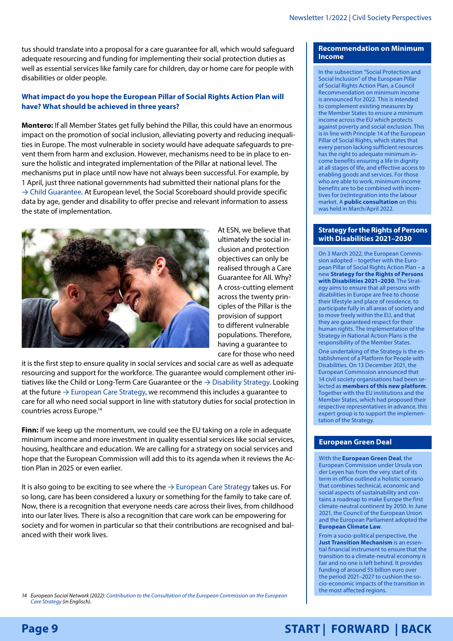<span id="page-8-2"></span>tus should translate into a proposal for a care guarantee for all, which would safeguard adequate resourcing and funding for implementing their social protection duties as well as essential services like family care for children, day or home care for people with disabilities or older people.

## **What impact do you hope the European Pillar of Social Rights Action Plan will have? What should be achieved in three years?**

**Montero:** If all Member States get fully behind the Pillar, this could have an enormous impact on the promotion of social inclusion, alleviating poverty and reducing inequalities in Europe. The most vulnerable in society would have adequate safeguards to prevent them from harm and exclusion. However, mechanisms need to be in place to ensure the holistic and integrated implementation of the Pillar at national level. The mechanisms put in place until now have not always been successful. For example, by 1 April, just three national governments had submitted their national plans for the  $\rightarrow$  [Child Guarantee.](#page-7-0) At European level, the Social Scoreboard should provide specific data by age, gender and disability to offer precise and relevant information to assess the state of implementation.



At ESN, we believe that ultimately the social inclusion and protection objectives can only be realised through a Care Guarantee for All. Why? A cross-cutting element across the twenty principles of the Pillar is the provision of support to different vulnerable populations. Therefore, having a guarantee to care for those who need

it is the first step to ensure quality in social services and social care as well as adequate resourcing and support for the workforce. The guarantee would complement other initiatives like the Child or Long-Term Care Guarantee or the  $\rightarrow$  [Disability Strategy](#page-8-0). Looking at the future  $\rightarrow$  [European Care Strategy,](#page-2-1) we recommend this includes a guarantee to care for all who need social support in line with statutory duties for social protection in countries across Europe.14

**Finn:** If we keep up the momentum, we could see the EU taking on a role in adequate minimum income and more investment in quality essential services like social services, housing, healthcare and education. We are calling for a strategy on social services and hope that the European Commission will add this to its agenda when it reviews the Action Plan in 2025 or even earlier.

It is also going to be exciting to see where the  $\rightarrow$  [European Care Strategy](#page-2-1) takes us. For so long, care has been considered a luxury or something for the family to take care of. Now, there is a recognition that everyone needs care across their lives, from childhood into our later lives. There is also a recognition that care work can be empowering for society and for women in particular so that their contributions are recognised and balanced with their work lives.

#### <span id="page-8-1"></span>**Recommendation on Minimum Income**

In the subsection "Social Protection and Social Inclusion" of the European Pillar of Social Rights Action Plan, a Council Recommendation on minimum income is announced for 2022. This is intended to complement existing measures by the Member States to ensure a minimum income across the EU which protects against poverty and social exclusion. This is in line with Principle 14 of the European Pillar of Social Rights, which states that every person lacking sufficient resources has the right to adequate minimum income benefits ensuring a life in dignity at all stages of life, and effective access to enabling goods and services. For those who are able to work, minimum income benefits are to be combined with incentives for (re)integration into the labour market. A **[public consultation](https://ec.europa.eu/info/law/better-regulation/have-your-say/initiatives/13294-Recommendation-on-minimum-income_en)** on this was held in March/April 2022.

#### <span id="page-8-0"></span>**[Strategy for the Rights of Persons](https://ec.europa.eu/social/main.jsp?catId=738&langId=en&pubId=8376&furtherPubs=yes)  [with Disabilities 2021–2030](https://ec.europa.eu/social/main.jsp?catId=738&langId=en&pubId=8376&furtherPubs=yes)**

On 3 March 2022, the European Commission adopted – together with the European Pillar of Social Rights Action Plan – a new **[Strategy for the Rights of Persons](https://ec.europa.eu/social/main.jsp?catId=738&langId=en&pubId=8376&furtherPubs=yes)  [with Disabilities 2021–2030](https://ec.europa.eu/social/main.jsp?catId=738&langId=en&pubId=8376&furtherPubs=yes)**. The Strategy aims to ensure that all persons with disabilities in Europe are free to choose their lifestyle and place of residence, to participate fully in all areas of society and to move freely within the EU, and that they are guaranteed respect for their human rights. The implementation of the Strategy in National Action Plans is the responsibility of the Member States.

One undertaking of the Strategy is the establishment of a Platform for People with Disabilities. On 13 December 2021, the European Commission announced that 14 civil society organisations had been selected as **[members of this new platform](https://ec.europa.eu/social/main.jsp?catId=89&furtherNews=yes&newsId=10124&langId=en)**. Together with the EU institutions and the Member States, which had proposed their respective representatives in advance, this expert group is to support the implementation of the Strategy.

### <span id="page-8-3"></span>**European Green Deal**

With the **[European Green Deal](https://ec.europa.eu/info/strategy/priorities-2019-2024/european-green-deal_en)**, the European Commission under Ursula von der Leyen has from the very start of its term in office outlined a holistic scenario that combines technical, economic and social aspects of sustainability and contains a roadmap to make Europe the first climate-neutral continent by 2050. In June 2021, the Council of the European Union and the European Parliament adopted the **[European Climate Law](https://ec.europa.eu/clima/eu-action/european-green-deal/european-climate-law_en)**.

From a socio-political perspective, the **[Just Transition Mechanism](https://ec.europa.eu/info/strategy/priorities-2019-2024/european-green-deal/finance-and-green-deal/just-transition-mechanism_en)** is an essential financial instrument to ensure that the transition to a climate-neutral economy is fair and no one is left behind. It provides funding of around 55 billion euro over the period 2021–2027 to cushion the socio-economic impacts of the transition in the most affected regions.

*14 European Social Network (2022): [Contribution to the Consultation of the European Commission on the European](https://www.esn-eu.org/de/node/6358)  [Care Strategy](https://www.esn-eu.org/de/node/6358) (in Englisch).*

# **[START](#page-0-0) | [FORWARD](#page-9-1) | [BACK](#page-7-1)**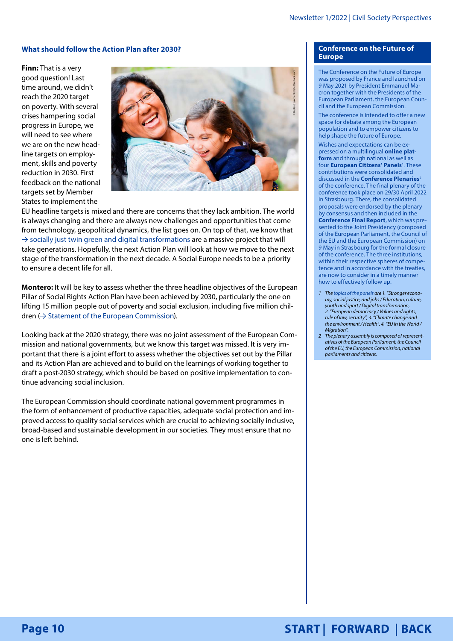#### <span id="page-9-1"></span>**What should follow the Action Plan after 2030?**

**Finn:** That is a very good question! Last time around, we didn't reach the 2020 target on poverty. With several crises hampering social progress in Europe, we will need to see where we are on the new headline targets on employment, skills and poverty reduction in 2030. First feedback on the national targets set by Member States to implement the



EU headline targets is mixed and there are concerns that they lack ambition. The world is always changing and there are always new challenges and opportunities that come from technology, geopolitical dynamics, the list goes on. On top of that, we know that  $\rightarrow$  [socially just twin green and digital transformations](#page-8-3) are a massive project that will take generations. Hopefully, the next Action Plan will look at how we move to the next stage of the transformation in the next decade. A Social Europe needs to be a priority to ensure a decent life for all.

**Montero:** It will be key to assess whether the three headline objectives of the European Pillar of Social Rights Action Plan have been achieved by 2030, particularly the one on lifting 15 million people out of poverty and social exclusion, including five million chil $dren$   $\leftrightarrow$  [Statement of the European Commission\)](#page-4-1).

Looking back at the 2020 strategy, there was no joint assessment of the European Commission and national governments, but we know this target was missed. It is very important that there is a joint effort to assess whether the objectives set out by the Pillar and its Action Plan are achieved and to build on the learnings of working together to draft a post-2030 strategy, which should be based on positive implementation to continue advancing social inclusion.

The European Commission should coordinate national government programmes in the form of enhancement of productive capacities, adequate social protection and improved access to quality social services which are crucial to achieving socially inclusive, broad-based and sustainable development in our societies. They must ensure that no one is left behind.

#### <span id="page-9-0"></span>**Conference on the Future of Europe**

The Conference on the Future of Europe was proposed by France and launched on 9 May 2021 by President Emmanuel Macron together with the Presidents of the European Parliament, the European Council and the European Commission.

The conference is intended to offer a new space for debate among the European population and to empower citizens to help shape the future of Europe.

Wishes and expectations can be expressed on a multilingual **[online plat](https://futureu.europa.eu/?locale=en)[form](https://futureu.europa.eu/?locale=en)** and through national as well as four **[European Citizens' Panels](https://futureu.europa.eu/assemblies/citizens-panels?locale=en)**<sup>1</sup>. These contributions were consolidated and discussed in the **[Conference Plenaries](https://futureu.europa.eu/pages/plenary?locale=en)**<sup>2</sup> of the conference. The final plenary of the conference took place on 29/30 April 2022 in Strasbourg. There, the consolidated proposals were endorsed by the plenary by consensus and then included in the **[Conference Final Report](https://futureu.europa.eu/pages/reporting?locale=en)**, which was presented to the Joint Presidency (composed of the European Parliament, the Council of the EU and the European Commission) on 9 May in Strasbourg for the formal closure of the conference. The three institutions, within their respective spheres of competence and in accordance with the treaties, are now to consider in a timely manner how to effectively follow up.

- *1 The [topics of the panels](https://futureu.europa.eu/assemblies/citizens-panels?locale=en) are 1. "Stronger economy, social justice, and jobs / Education, culture, youth and sport / Digital transformation, 2. "European democracy / Values and rights, rule of law, security", 3. "Climate change and the environment / Health", 4. "EU in the World / Migration".*
- *2 The plenary assembly is composed of representatives of the European Parliament, the Council of the EU, the European Commission, national parliaments and citizens.*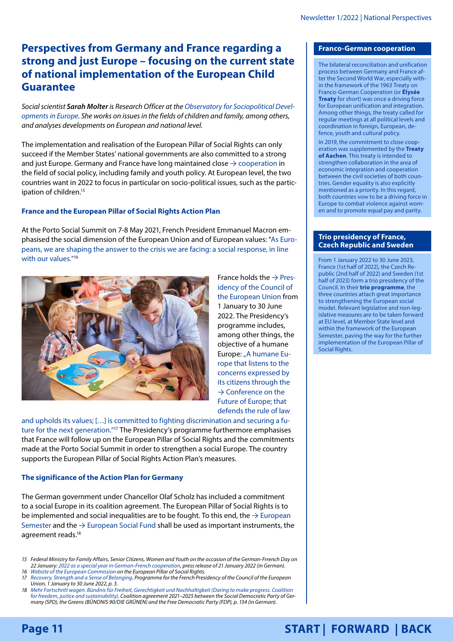# <span id="page-10-0"></span>**Perspectives from Germany and France regarding a strong and just Europe – focusing on the current state of national implementation of the European Child Guarantee**

*Social scientist Sarah Molter is Research Officer at the [Observatory for Sociopolitical Devel](https://www.beobachtungsstelle-gesellschaftspolitik.de/)[opments in Europe.](https://www.beobachtungsstelle-gesellschaftspolitik.de/) She works on issues in the fields of children and family, among others, and analyses developments on European and national level.*

The implementation and realisation of the European Pillar of Social Rights can only succeed if the Member States' national governments are also committed to a strong and just Europe. Germany and France have long maintained close  $\rightarrow$  [cooperation](#page-10-1) in the field of social policy, including family and youth policy. At European level, the two countries want in 2022 to focus in particular on socio-political issues, such as the participation of children.<sup>15</sup>

# **France and the European Pillar of Social Rights Action Plan**

At the Porto Social Summit on 7-8 May 2021, French President Emmanuel Macron emphasised the social dimension of the European Union and of European values: "As Europeans, we are shaping the answer to the crisis we are facing: a social response, in line with our values."<sup>16</sup>



France holds the  $\rightarrow$  [Pres](#page-10-2)[idency of the Council of](#page-10-2)  [the European Union](#page-10-2) from 1 January to 30 June 2022. The Presidency's programme includes, among other things, the objective of a humane Europe: "A humane Europe that listens to the concerns expressed by its citizens through the  $\rightarrow$  Conference on the [Future of Europe;](#page-9-0) that defends the rule of law

and upholds its values; […] is committed to fighting discrimination and securing a future for the next generation."<sup>17</sup> The Presidency's programme furthermore emphasises that France will follow up on the European Pillar of Social Rights and the commitments made at the Porto Social Summit in order to strengthen a social Europe. The country supports the European Pillar of Social Rights Action Plan's measures.

### **The significance of the Action Plan for Germany**

The German government under Chancellor Olaf Scholz has included a commitment to a social Europe in its coalition agreement. The European Pillar of Social Rights is to be implemented and social inequalities are to be fought. To this end, the  $\rightarrow$  European [Semester](#page-4-3) and the  $\rightarrow$  [European Social Fund](#page-11-0) shall be used as important instruments, the agreement reads.<sup>18</sup>

#### <span id="page-10-1"></span>**Franco-German cooperation**

The bilateral reconciliation and unification process between Germany and France after the Second World War, especially within the framework of the 1963 Treaty on Franco-German Cooperation (or **[Élysée](https://de.ambafrance.org/IMG/pdf/vertrag-elysee-63.pdf?418/63cde77621391afa77d2b3380d96c798e9ff1a63)  [Treaty](https://de.ambafrance.org/IMG/pdf/vertrag-elysee-63.pdf?418/63cde77621391afa77d2b3380d96c798e9ff1a63)** for short) was once a driving force for European unification and integration. Among other things, the treaty called for regular meetings at all political levels and coordination in foreign, European, defence, youth and cultural policy.

In 2019, the commitment to close cooperation was supplemented by the **[Treaty](https://de.ambafrance.org/IMG/pdf/2019-01-19-vertrag-von-aachen-data.pdf?24531/00390d5439ac1e125b4e6879b9c66f1a173bcf20)  [of Aachen](https://de.ambafrance.org/IMG/pdf/2019-01-19-vertrag-von-aachen-data.pdf?24531/00390d5439ac1e125b4e6879b9c66f1a173bcf20)**. This treaty is intended to strengthen collaboration in the area of economic integration and cooperation between the civil societies of both countries. Gender equality is also explicitly mentioned as a priority. In this regard, both countries vow to be a driving force in Europe to combat violence against women and to promote equal pay and parity.

#### <span id="page-10-2"></span>**Trio presidency of France, Czech Republic and Sweden**

From 1 January 2022 to 30 June 2023, France (1st half of 2022), the Czech Republic (2nd half of 2022) and Sweden (1st half of 2023) form a trio presidency of the Council. In their **[trio programme](https://presidence-francaise.consilium.europa.eu/en/programme/trio-programme/https:/presidence-francaise.consilium.europa.eu/de/programm/programm-der-trio-prasidentschaft/)**, the three countries attach great importance to strengthening the European social model. Relevant legislative and non-legislative measures are to be taken forward at EU level, at Member State level and within the framework of the European Semester, paving the way for the further implementation of the European Pillar of Social Rights.

```
Page 11
```
*<sup>15</sup> Federal Ministry for Family Affairs, Senior Citizens, Women and Youth on the occasion of the German-Frrench Day on 22 January: [2022 as a special year in German-French cooperation](https://www.bmfsfj.de/bmfsfj/aktuelles/presse/pressemitteilungen/2022-als-besonderes-jahr-der-deutsch-franzoesischen-zusammenarbeit-192594), press release of 21 January 2022 (in German). 16 [Website of the European Commission](https://ec.europa.eu/info/strategy/priorities-2019-2024/economy-works-people/jobs-growth-and-investment/european-pillar-social-rights/european-pillar-social-rights-action-plan_en) on the European Pillar of Social Rights.*

*<sup>17</sup> [Recovery, Strength and a Sense of Belonging.](https://presidence-francaise.consilium.europa.eu/en/programme/programme-of-the-presidency/) Programme for the French Presidency of the Council of the European Union, 1 January to 30 June 2022, p. 3.*

*<sup>18</sup> [Mehr Fortschritt wagen. Bündnis für Freiheit, Gerechtigkeit und Nachhaltigkeit \(Daring to make progress. Coalition](https://www.bundesregierung.de/breg-de/service/gesetzesvorhaben/koalitionsvertrag-2021-1990800)  [for freedem, justice and sustainability\)](https://www.bundesregierung.de/breg-de/service/gesetzesvorhaben/koalitionsvertrag-2021-1990800). Coalition agreement 2021–2025 between the Social Democratic Party of Germany (SPD), the Greens (BÜNDNIS 90/DIE GRÜNEN) and the Free Democratic Party (FDP), p. 134 (in German).*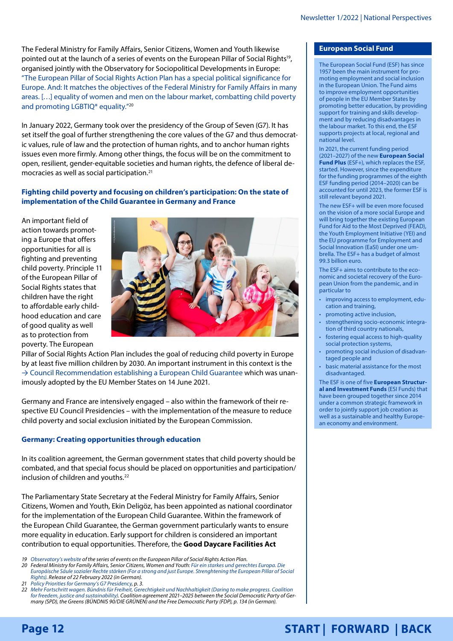<span id="page-11-1"></span>The Federal Ministry for Family Affairs, Senior Citizens, Women and Youth likewise pointed out at the launch of a series of events on the European Pillar of Social Rights<sup>19</sup>, organised jointly with the Observatory for Sociopolitical Developments in Europe: "The European Pillar of Social Rights Action Plan has a special political significance for Europe. And: It matches the objectives of the Federal Ministry for Family Affairs in many areas. […] equality of women and men on the labour market, combatting child poverty and promoting LGBTIQ\* equality."20

In January 2022, Germany took over the presidency of the Group of Seven (G7). It has set itself the goal of further strengthening the core values of the G7 and thus democratic values, rule of law and the protection of human rights, and to anchor human rights issues even more firmly. Among other things, the focus will be on the commitment to open, resilient, gender-equitable societies and human rights, the defence of liberal democracies as well as social participation.21

**Fighting child poverty and focusing on children's participation: On the state of implementation of the Child Guarantee in Germany and France**

An important field of action towards promoting a Europe that offers opportunities for all is fighting and preventing child poverty. Principle 11 of the European Pillar of Social Rights states that children have the right to affordable early childhood education and care of good quality as well as to protection from poverty. The European



Pillar of Social Rights Action Plan includes the goal of reducing child poverty in Europe by at least five million children by 2030. An important instrument in this context is the  $\rightarrow$  [Council Recommendation establishing a European Child Guarantee](#page-7-0) which was unanimously adopted by the EU Member States on 14 June 2021.

Germany and France are intensively engaged – also within the framework of their respective EU Council Presidencies – with the implementation of the measure to reduce child poverty and social exclusion initiated by the European Commission.

### **Germany: Creating opportunities through education**

In its coalition agreement, the German government states that child poverty should be combated, and that special focus should be placed on opportunities and participation/ inclusion of children and youths.<sup>22</sup>

The Parliamentary State Secretary at the Federal Ministry for Family Affairs, Senior Citizens, Women and Youth, Ekin Deligöz, has been appointed as national coordinator for the implementation of the European Child Guarantee. Within the framework of the European Child Guarantee, the German government particularly wants to ensure more equality in education. Early support for children is considered an important contribution to equal opportunities. Therefore, the **Good Daycare Facilities Act** 

- *19 [Observatory's website](https://sociopolitical-observatory.eu/events/) of the series of events on the European Pillar of Social Rights Action Plan.*
- *20 Federal Ministry for Family Affairs, Senior Citizens, Women and Youth: [Für ein starkes und gerechtes Europa. Die](https://www.bmfsfj.de/bmfsfj/aktuelles/alle-meldungen/die-europaeische-saeule-sozialer-rechte-staerken-192846)  [Europäische Säule sozialer Rechte stärken \(For a strong and just Europe. Strenghtening the European Pillar of Social](https://www.bmfsfj.de/bmfsfj/aktuelles/alle-meldungen/die-europaeische-saeule-sozialer-rechte-staerken-192846)  [Rights\)](https://www.bmfsfj.de/bmfsfj/aktuelles/alle-meldungen/die-europaeische-saeule-sozialer-rechte-staerken-192846). Release of 22 February 2022 (in German).*
- *21 [Policy Priorities for Germany's G7 Presidency](https://www.g7germany.de/resource/blob/998352/2000328/6cb78b73c9f000183e69738c255d9cc9/2022-01-21-g7-programm-en-data.pdf?download=1), p. 3.*
- *22 [Mehr Fortschritt wagen. Bündnis für Freiheit, Gerechtigkeit und Nachhaltigkeit \(Daring to make progress. Coalition](https://www.bundesregierung.de/breg-de/service/gesetzesvorhaben/koalitionsvertrag-2021-1990800)  [for freedem, justice and sustainability\)](https://www.bundesregierung.de/breg-de/service/gesetzesvorhaben/koalitionsvertrag-2021-1990800). Coalition agreement 2021–2025 between the Social Democratic Party of Germany (SPD), the Greens (BÜNDNIS 90/DIE GRÜNEN) and the Free Democratic Party (FDP), p. 134 (in German).*

### <span id="page-11-0"></span>**European Social Fund**

The European Social Fund (ESF) has since 1957 been the main instrument for promoting employment and social inclusion in the European Union. The Fund aims to improve employment opportunities of people in the EU Member States by promoting better education, by providing support for training and skills development and by reducing disadvantages in the labour market. To this end, the ESF supports projects at local, regional and national level.

In 2021, the current funding period (2021–2027) of the new **[European Social](https://ec.europa.eu/european-social-fund-plus/en/esf-recovery)  [Fund Plus](https://ec.europa.eu/european-social-fund-plus/en/esf-recovery)** (ESF+), which replaces the ESF, started. However, since the expenditure for the funding programmes of the eighth ESF funding period (2014–2020) can be accounted for until 2023, the former ESF is still relevant beyond 2021.

The new ESF+ will be even more focused on the vision of a more social Europe and will bring together the existing European Fund for Aid to the Most Deprived (FEAD), the Youth Employment Initiative (YEI) and the EU programme for Employment and Social Innovation (EaSI) under one umbrella. The ESF+ has a budget of almost 99.3 billion euro.

The ESF+ aims to contribute to the economic and societal recovery of the European Union from the pandemic, and in particular to

- improving access to employment, education and training,
- promoting active inclusion,
- strengthening socio-economic integration of third country nationals,
- fostering equal access to high-quality social protection systems,
- promoting social inclusion of disadvantaged people and
- basic material assistance for the most disadvantaged.

The ESF is one of five **[European Structur](https://ec.europa.eu/info/funding-tenders/funding-opportunities/funding-programmes/overview-funding-programmes/european-structural-and-investment-funds_en)[al and Investment Funds](https://ec.europa.eu/info/funding-tenders/funding-opportunities/funding-programmes/overview-funding-programmes/european-structural-and-investment-funds_en)** (ESI Funds) that have been grouped together since 2014 under a common strategic framework in order to jointly support job creation as well as a sustainable and healthy European economy and environment.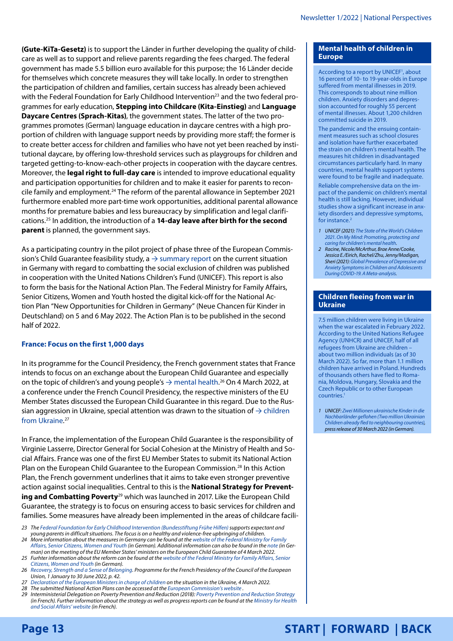<span id="page-12-0"></span>**(Gute-KiTa-Gesetz)** is to support the Länder in further developing the quality of childcare as well as to support and relieve parents regarding the fees charged. The federal government has made 5.5 billion euro available for this purpose; the 16 Länder decide for themselves which concrete measures they will take locally. In order to strengthen the participation of children and families, certain success has already been achieved with the Federal Foundation for Early Childhood Intervention<sup>23</sup> and the two federal programmes for early education, **Stepping into Childcare (Kita-Einstieg)** and **Language Daycare Centres (Sprach-Kitas)**, the government states. The latter of the two programmes promotes (German) language education in daycare centres with a high proportion of children with language support needs by providing more staff; the former is to create better access for children and families who have not yet been reached by institutional daycare, by offering low-threshold services such as playgroups for children and targeted getting-to-know-each-other projects in cooperation with the daycare centres. Moreover, the **legal right to full-day care** is intended to improve educational equality and participation opportunities for children and to make it easier for parents to reconcile family and employment.24 The reform of the parental allowance in September 2021 furthermore enabled more part-time work opportunities, additional parental allowance months for premature babies and less bureaucracy by simplification and legal clarifications.25 In addition, the introduction of a **14-day leave after birth for the second parent** is planned, the government says.

As a participating country in the pilot project of phase three of the European Commission's Child Guarantee feasibility study,  $a \rightarrow$  [summary report](#page-7-0) on the current situation in Germany with regard to combatting the social exclusion of children was published in cooperation with the United Nations Children's Fund (UNICEF). This report is also to form the basis for the National Action Plan. The Federal Ministry for Family Affairs, Senior Citizens, Women and Youth hosted the digital kick-off for the National Action Plan "New Opportunities for Children in Germany" (Neue Chancen für Kinder in Deutschland) on 5 and 6 May 2022. The Action Plan is to be published in the second half of 2022.

# **France: Focus on the first 1,000 days**

In its programme for the Council Presidency, the French government states that France intends to focus on an exchange about the European Child Guarantee and especially on the topic of children's and young people's → [mental health.](#page-12-1)<sup>26</sup> On 4 March 2022, at a conference under the French Council Presidency, the respective ministers of the EU Member States discussed the European Child Guarantee in this regard. Due to the Russian aggression in Ukraine, special attention was drawn to the situation of  $\rightarrow$  children [from Ukraine.](#page-12-2) 27

In France, the implementation of the European Child Guarantee is the responsibility of Virginie Lasserre, Director General for Social Cohesion at the Ministry of Health and Social Affairs. France was one of the first EU Member States to submit its National Action Plan on the European Child Guarantee to the European Commission.<sup>28</sup> In this Action Plan, the French government underlines that it aims to take even stronger preventive action against social inequalities. Central to this is the **National Strategy for Preventing and Combatting Poverty**<sup>29</sup> which was launched in 2017. Like the European Child Guarantee, the strategy is to focus on ensuring access to basic services for children and families. Some measures have already been implemented in the areas of childcare facili-

- *23 The [Federal Foundation for Early Childhood Intervention \(Bundesstiftung Frühe Hilfen\)](https://www.fruehehilfen.de/grundlagen-und-fachthemen/grundlagen-der-fruehen-hilfen/bundesstiftung-fruehe-hilfen/) supports expectant and young parents in difficult situations. The focus is on a healthy and violence-free upbringing of children.*
- *24 More information about the measures in Germany can be found at the [website of the Federal Ministry for Family](https://www.bmfsfj.de/bmfsfj/aktuelles/alle-meldungen/bessere-chancen-fuer-benachteiligte-kinder-in-der-europaeischen-union-182136)*  [Affairs, Senior Citizens, Women and Youth](https://www.bmfsfj.de/bmfsfj/aktuelles/alle-meldungen/bessere-chancen-fuer-benachteiligte-kinder-in-der-europaeischen-union-182136) (in German). Additional information can also be found in the [note](https://www.bmfsfj.de/bmfsfj/aktuelles/alle-meldungen/bessere-chancen-fuer-kinder-in-ganz-europa-ermoeglichen-193674) (in Ger*man) on the meeting of the EU Member States' ministers on the European Child Guarantee of 4 March 2022. 25 Furhter information about the reform can be found at the [website of the Federal Ministry for Family Affairs, Senior](https://www.bmfsfj.de/bmfsfj/aktuelles/alle-meldungen/elterngeld-verbesserungen-gesetz-aenderung-160558)*
- *[Citizens, Women and Youth](https://www.bmfsfj.de/bmfsfj/aktuelles/alle-meldungen/elterngeld-verbesserungen-gesetz-aenderung-160558) (in German).*
- *26 [Recovery, Strength and a Sense of Belonging.](https://presidence-francaise.consilium.europa.eu/en/programme/programme-of-the-presidency/) Programme for the French Presidency of the Council of the European Union, 1 January to 30 June 2022, p. 42.*
- *27 [Declaration of the European Ministers in charge of children](https://www.bmfsfj.de/resource/blob/193780/d38eec8cb4ef4d6078f0e1e980596d77/erklaerung-konferenz-paris-kinder-ukraine-data.pdf) on the situation in the Ukraine, 4 March 2022.*
- *28 The submitted National Action Plans can be accessed at the [European Commission's website](https://ec.europa.eu/social/main.jsp?catId=1428&langId=en) .*
- *29 Interministerial Delegation on Poverty Prevention and Reduction (2018): [Poverty Prevention and Reduction Strategy](https://solidarites-sante.gouv.fr/IMG/pdf/strategie_pauvrete_vfhd.pdf) (in French). Further information about the strategy as well as progress reports can be found at the [Ministry for Health](https://solidarites-sante.gouv.fr/affaires-sociales/lutte-contre-l-exclusion/lutte-pauvrete-gouv-fr/)  [and Social Affairs' website](https://solidarites-sante.gouv.fr/affaires-sociales/lutte-contre-l-exclusion/lutte-pauvrete-gouv-fr/) (in French).*

### <span id="page-12-1"></span>**Mental health of children in Europe**

According to a report by UNICEF<sup>1</sup>, about 16 percent of 10- to 19-year-olds in Europe suffered from mental illnesses in 2019. This corresponds to about nine million children. Anxiety disorders and depression accounted for roughly 55 percent of mental illnesses. About 1,200 children committed suicide in 2019.

The pandemic and the ensuing containment measures such as school closures and isolation have further exacerbated the strain on children's mental health. The measures hit children in disadvantaged circumstances particularly hard. In many countries, mental health support systems were found to be fragile and inadequate. Reliable comprehensive data on the impact of the pandemic on children's mental health is still lacking. However, individual studies show a significant increase in anxiety disorders and depressive symptoms, for instance.2

- *1 UNICEF (2021): [The State of the World's Children](https://www.unicef.org/eu/reports/state-worlds-children-2021)  [2021. On My Mind: Promoting, protecting and](https://www.unicef.org/eu/reports/state-worlds-children-2021)  [caring for children's mental health.](https://www.unicef.org/eu/reports/state-worlds-children-2021)*
- *2 Racine, Nicole/McArthur, Brae Anne/Cooke, Jessica E./Eirich, Rachel/Zhu, Jenny/Madigan, Sheri (2021): [Global Prevalence of Depressive and](https://jamanetwork.com/journals/jamapediatrics/fullarticle/2782796)  [Anxiety Symptoms in Children and Adolescents](https://jamanetwork.com/journals/jamapediatrics/fullarticle/2782796)  [During COVID-19. A Meta-analysis](https://jamanetwork.com/journals/jamapediatrics/fullarticle/2782796).*

### <span id="page-12-2"></span>**Children fleeing from war in Ukraine**

7.5 million children were living in Ukraine when the war escalated in February 2022. According to the United Nations Refugee Agency (UNHCR) and UNICEF, half of all refugees from Ukraine are children – about two million individuals (as of 30 March 2022). So far, more than 1.1 million children have arrived in Poland. Hundreds of thousands others have fled to Romania, Moldova, Hungary, Slovakia and the Czech Republic or to other European countries.1

*1 UNICEF: [Zwei Millionen ukrainische Kinder in die](https://www.unicef.de/informieren/aktuelles/presse/2022/ukraine-zwei-millionen-kinder-in-nachbarlaender-geflohen/264908)  [Nachbarländer geflohen \(Two million Ukrainian](https://www.unicef.de/informieren/aktuelles/presse/2022/ukraine-zwei-millionen-kinder-in-nachbarlaender-geflohen/264908)  [Children already fled to neighbouring countries\),](https://www.unicef.de/informieren/aktuelles/presse/2022/ukraine-zwei-millionen-kinder-in-nachbarlaender-geflohen/264908) press release of 30 March 2022 (in German).*